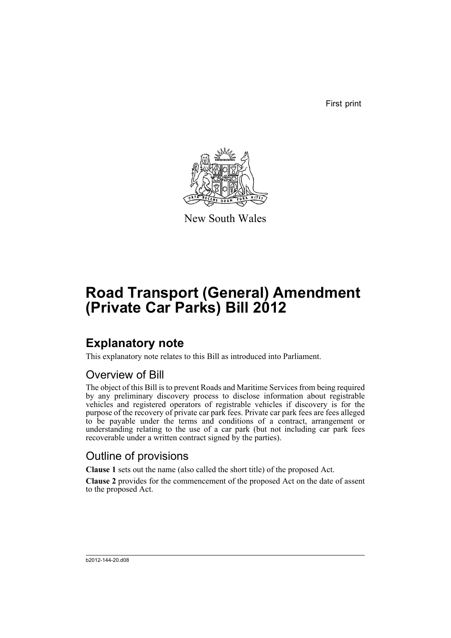First print



New South Wales

# **Road Transport (General) Amendment (Private Car Parks) Bill 2012**

## **Explanatory note**

This explanatory note relates to this Bill as introduced into Parliament.

### Overview of Bill

The object of this Bill is to prevent Roads and Maritime Services from being required by any preliminary discovery process to disclose information about registrable vehicles and registered operators of registrable vehicles if discovery is for the purpose of the recovery of private car park fees. Private car park fees are fees alleged to be payable under the terms and conditions of a contract, arrangement or understanding relating to the use of a car park (but not including car park fees recoverable under a written contract signed by the parties).

## Outline of provisions

**Clause 1** sets out the name (also called the short title) of the proposed Act.

**Clause 2** provides for the commencement of the proposed Act on the date of assent to the proposed Act.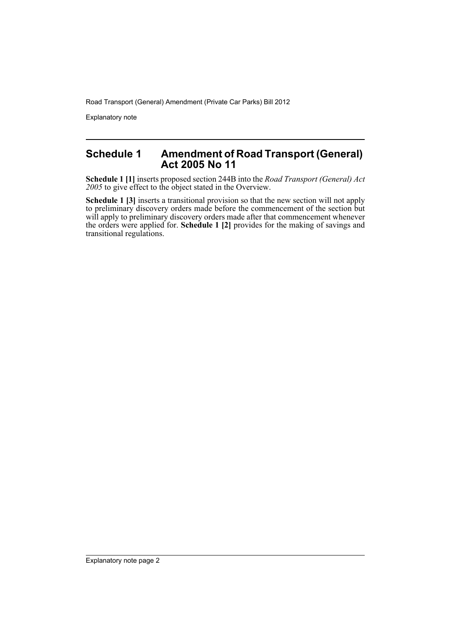Road Transport (General) Amendment (Private Car Parks) Bill 2012

Explanatory note

### **Schedule 1 Amendment of Road Transport (General) Act 2005 No 11**

**Schedule 1 [1]** inserts proposed section 244B into the *Road Transport (General) Act 2005* to give effect to the object stated in the Overview.

**Schedule 1 [3]** inserts a transitional provision so that the new section will not apply to preliminary discovery orders made before the commencement of the section but will apply to preliminary discovery orders made after that commencement whenever the orders were applied for. **Schedule 1 [2]** provides for the making of savings and transitional regulations.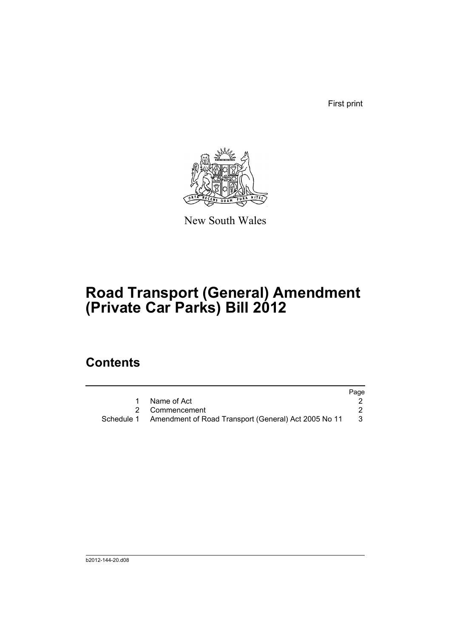First print



New South Wales

# **Road Transport (General) Amendment (Private Car Parks) Bill 2012**

## **Contents**

|                                                                 | Page |
|-----------------------------------------------------------------|------|
| Name of Act                                                     |      |
| 2 Commencement                                                  |      |
| Schedule 1 Amendment of Road Transport (General) Act 2005 No 11 | -3   |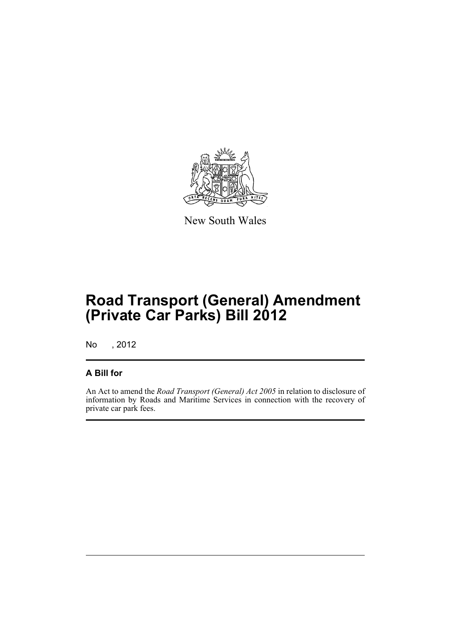

New South Wales

# **Road Transport (General) Amendment (Private Car Parks) Bill 2012**

No , 2012

### **A Bill for**

An Act to amend the *Road Transport (General) Act 2005* in relation to disclosure of information by Roads and Maritime Services in connection with the recovery of private car park fees.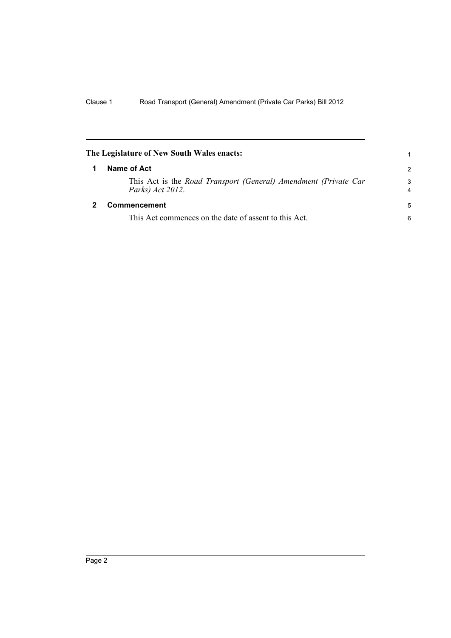<span id="page-5-1"></span><span id="page-5-0"></span>

| The Legislature of New South Wales enacts:                                          |               |
|-------------------------------------------------------------------------------------|---------------|
| Name of Act                                                                         | $\mathcal{P}$ |
| This Act is the Road Transport (General) Amendment (Private Car<br>Parks) Act 2012. | 3<br>4        |
| <b>Commencement</b>                                                                 | 5             |
| This Act commences on the date of assent to this Act.                               | 6             |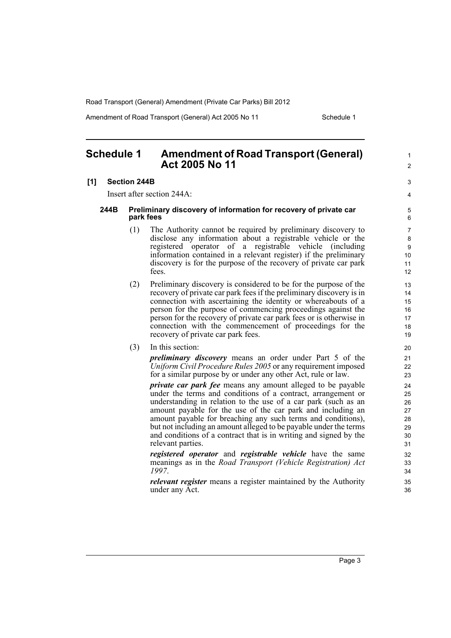Road Transport (General) Amendment (Private Car Parks) Bill 2012

Amendment of Road Transport (General) Act 2005 No 11 Schedule 1

#### <span id="page-6-0"></span>**Schedule 1 Amendment of Road Transport (General) Act 2005 No 11**

#### **[1] Section 244B**

Insert after section 244A:

#### **244B Preliminary discovery of information for recovery of private car park fees**

- (1) The Authority cannot be required by preliminary discovery to disclose any information about a registrable vehicle or the registered operator of a registrable vehicle (including information contained in a relevant register) if the preliminary discovery is for the purpose of the recovery of private car park fees.
- (2) Preliminary discovery is considered to be for the purpose of the recovery of private car park fees if the preliminary discovery is in connection with ascertaining the identity or whereabouts of a person for the purpose of commencing proceedings against the person for the recovery of private car park fees or is otherwise in connection with the commencement of proceedings for the recovery of private car park fees.
- (3) In this section:

*preliminary discovery* means an order under Part 5 of the *Uniform Civil Procedure Rules 2005* or any requirement imposed for a similar purpose by or under any other Act, rule or law.

*private car park fee* means any amount alleged to be payable under the terms and conditions of a contract, arrangement or understanding in relation to the use of a car park (such as an amount payable for the use of the car park and including an amount payable for breaching any such terms and conditions), but not including an amount alleged to be payable under the terms and conditions of a contract that is in writing and signed by the relevant parties.

*registered operator* and *registrable vehicle* have the same meanings as in the *Road Transport (Vehicle Registration) Act 1997*.

*relevant register* means a register maintained by the Authority under any Act.

33

34 35 36

1  $\mathfrak{p}$